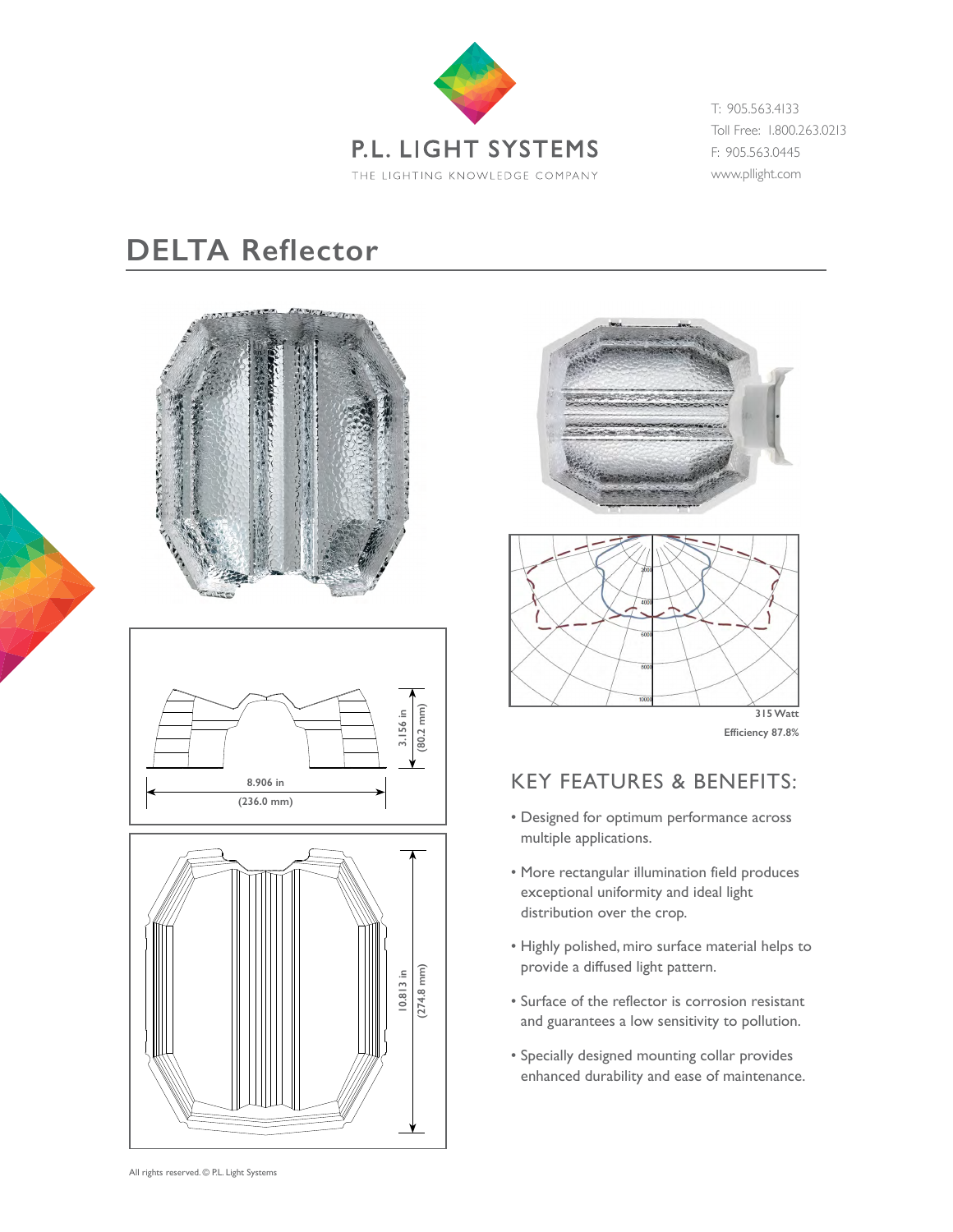

T: 905.563.4133 Toll Free: 1.800.263.0213 F: 905.563.0445 www.pllight.com

## **DELTA Reflector**











 **Efficiency 87.8%**

## KEY FEATURES & BENEFITS:

- Designed for optimum performance across multiple applications.
- More rectangular illumination field produces exceptional uniformity and ideal light distribution over the crop.
- Highly polished, miro surface material helps to provide a diffused light pattern.
- Surface of the reflector is corrosion resistant and guarantees a low sensitivity to pollution.
- Specially designed mounting collar provides enhanced durability and ease of maintenance.